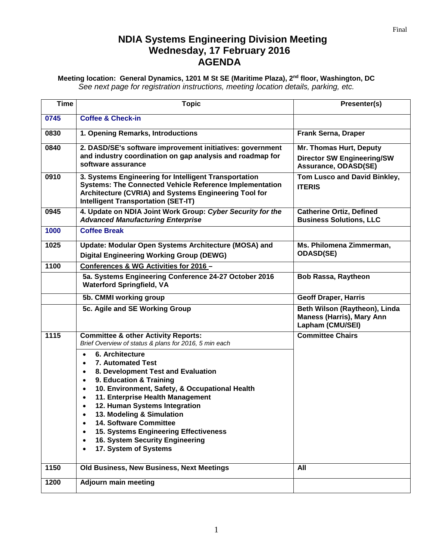## **NDIA Systems Engineering Division Meeting Wednesday, 17 February 2016 AGENDA**

**Meeting location: General Dynamics, 1201 M St SE (Maritime Plaza), 2nd floor, Washington, DC** *See next page for registration instructions, meeting location details, parking, etc.*

| <b>Time</b> | <b>Topic</b>                                                                                                                                                                                                                                                                                                                                                                                                                                                                                                                                                                       | Presenter(s)                                                                          |
|-------------|------------------------------------------------------------------------------------------------------------------------------------------------------------------------------------------------------------------------------------------------------------------------------------------------------------------------------------------------------------------------------------------------------------------------------------------------------------------------------------------------------------------------------------------------------------------------------------|---------------------------------------------------------------------------------------|
| 0745        | <b>Coffee &amp; Check-in</b>                                                                                                                                                                                                                                                                                                                                                                                                                                                                                                                                                       |                                                                                       |
| 0830        | 1. Opening Remarks, Introductions                                                                                                                                                                                                                                                                                                                                                                                                                                                                                                                                                  | Frank Serna, Draper                                                                   |
| 0840        | 2. DASD/SE's software improvement initiatives: government<br>and industry coordination on gap analysis and roadmap for<br>software assurance                                                                                                                                                                                                                                                                                                                                                                                                                                       | Mr. Thomas Hurt, Deputy<br><b>Director SW Engineering/SW</b><br>Assurance, ODASD(SE)  |
| 0910        | 3. Systems Engineering for Intelligent Transportation<br><b>Systems: The Connected Vehicle Reference Implementation</b><br>Architecture (CVRIA) and Systems Engineering Tool for<br><b>Intelligent Transportation (SET-IT)</b>                                                                                                                                                                                                                                                                                                                                                     | Tom Lusco and David Binkley,<br><b>ITERIS</b>                                         |
| 0945        | 4. Update on NDIA Joint Work Group: Cyber Security for the<br><b>Advanced Manufacturing Enterprise</b>                                                                                                                                                                                                                                                                                                                                                                                                                                                                             | <b>Catherine Ortiz, Defined</b><br><b>Business Solutions, LLC</b>                     |
| 1000        | <b>Coffee Break</b>                                                                                                                                                                                                                                                                                                                                                                                                                                                                                                                                                                |                                                                                       |
| 1025        | Update: Modular Open Systems Architecture (MOSA) and<br><b>Digital Engineering Working Group (DEWG)</b>                                                                                                                                                                                                                                                                                                                                                                                                                                                                            | Ms. Philomena Zimmerman,<br><b>ODASD(SE)</b>                                          |
| 1100        | Conferences & WG Activities for 2016 -                                                                                                                                                                                                                                                                                                                                                                                                                                                                                                                                             |                                                                                       |
|             | 5a. Systems Engineering Conference 24-27 October 2016<br><b>Waterford Springfield, VA</b>                                                                                                                                                                                                                                                                                                                                                                                                                                                                                          | <b>Bob Rassa, Raytheon</b>                                                            |
|             | 5b. CMMI working group                                                                                                                                                                                                                                                                                                                                                                                                                                                                                                                                                             | <b>Geoff Draper, Harris</b>                                                           |
|             | 5c. Agile and SE Working Group                                                                                                                                                                                                                                                                                                                                                                                                                                                                                                                                                     | Beth Wilson (Raytheon), Linda<br><b>Maness (Harris), Mary Ann</b><br>Lapham (CMU/SEI) |
| 1115        | <b>Committee &amp; other Activity Reports:</b><br>Brief Overview of status & plans for 2016, 5 min each<br>6. Architecture<br>$\bullet$<br><b>7. Automated Test</b><br>8. Development Test and Evaluation<br>$\bullet$<br>9. Education & Training<br>$\bullet$<br>10. Environment, Safety, & Occupational Health<br>$\bullet$<br>11. Enterprise Health Management<br>$\bullet$<br>12. Human Systems Integration<br>13. Modeling & Simulation<br><b>14. Software Committee</b><br>15. Systems Engineering Effectiveness<br>16. System Security Engineering<br>17. System of Systems | <b>Committee Chairs</b>                                                               |
| 1150        | Old Business, New Business, Next Meetings                                                                                                                                                                                                                                                                                                                                                                                                                                                                                                                                          | All                                                                                   |
| 1200        | <b>Adjourn main meeting</b>                                                                                                                                                                                                                                                                                                                                                                                                                                                                                                                                                        |                                                                                       |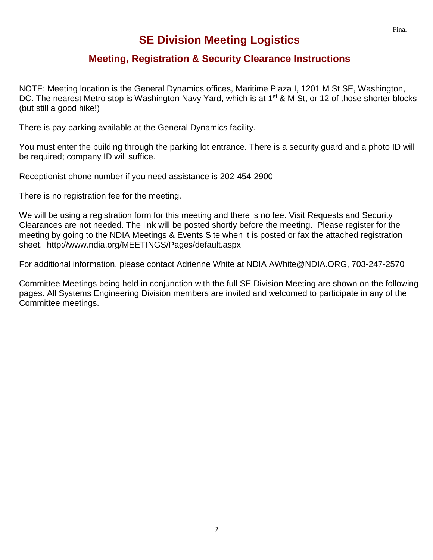## **SE Division Meeting Logistics**

## **Meeting, Registration & Security Clearance Instructions**

NOTE: Meeting location is the General Dynamics offices, Maritime Plaza I, 1201 M St SE, Washington, DC. The nearest Metro stop is Washington Navy Yard, which is at 1<sup>st</sup> & M St, or 12 of those shorter blocks (but still a good hike!)

There is pay parking available at the General Dynamics facility.

You must enter the building through the parking lot entrance. There is a security guard and a photo ID will be required; company ID will suffice.

Receptionist phone number if you need assistance is 202-454-2900

There is no registration fee for the meeting.

We will be using a registration form for this meeting and there is no fee. Visit Requests and Security Clearances are not needed. The link will be posted shortly before the meeting. Please register for the meeting by going to the NDIA Meetings & Events Site when it is posted or fax the attached registration sheet. <http://www.ndia.org/MEETINGS/Pages/default.aspx>

For additional information, please contact Adrienne White at NDIA AWhite@NDIA.ORG, 703-247-2570

Committee Meetings being held in conjunction with the full SE Division Meeting are shown on the following pages. All Systems Engineering Division members are invited and welcomed to participate in any of the Committee meetings.